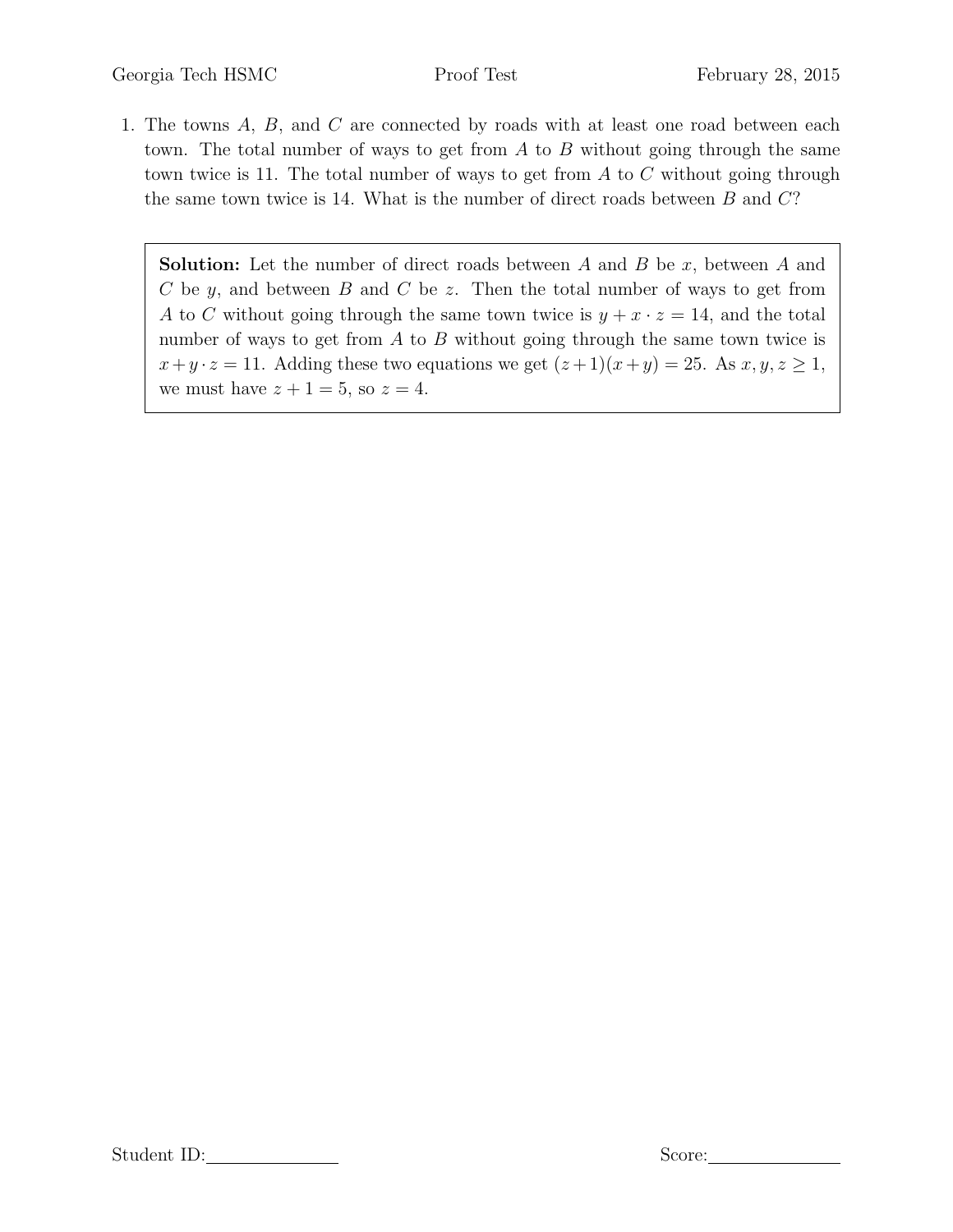1. The towns A, B, and C are connected by roads with at least one road between each town. The total number of ways to get from  $A$  to  $B$  without going through the same town twice is 11. The total number of ways to get from  $A$  to  $C$  without going through the same town twice is 14. What is the number of direct roads between  $B$  and  $C$ ?

**Solution:** Let the number of direct roads between  $A$  and  $B$  be  $x$ , between  $A$  and  $C$  be  $y$ , and between  $B$  and  $C$  be  $z$ . Then the total number of ways to get from A to C without going through the same town twice is  $y + x \cdot z = 14$ , and the total number of ways to get from  $A$  to  $B$  without going through the same town twice is  $x+y \cdot z = 11$ . Adding these two equations we get  $(z+1)(x+y) = 25$ . As  $x, y, z \ge 1$ , we must have  $z + 1 = 5$ , so  $z = 4$ .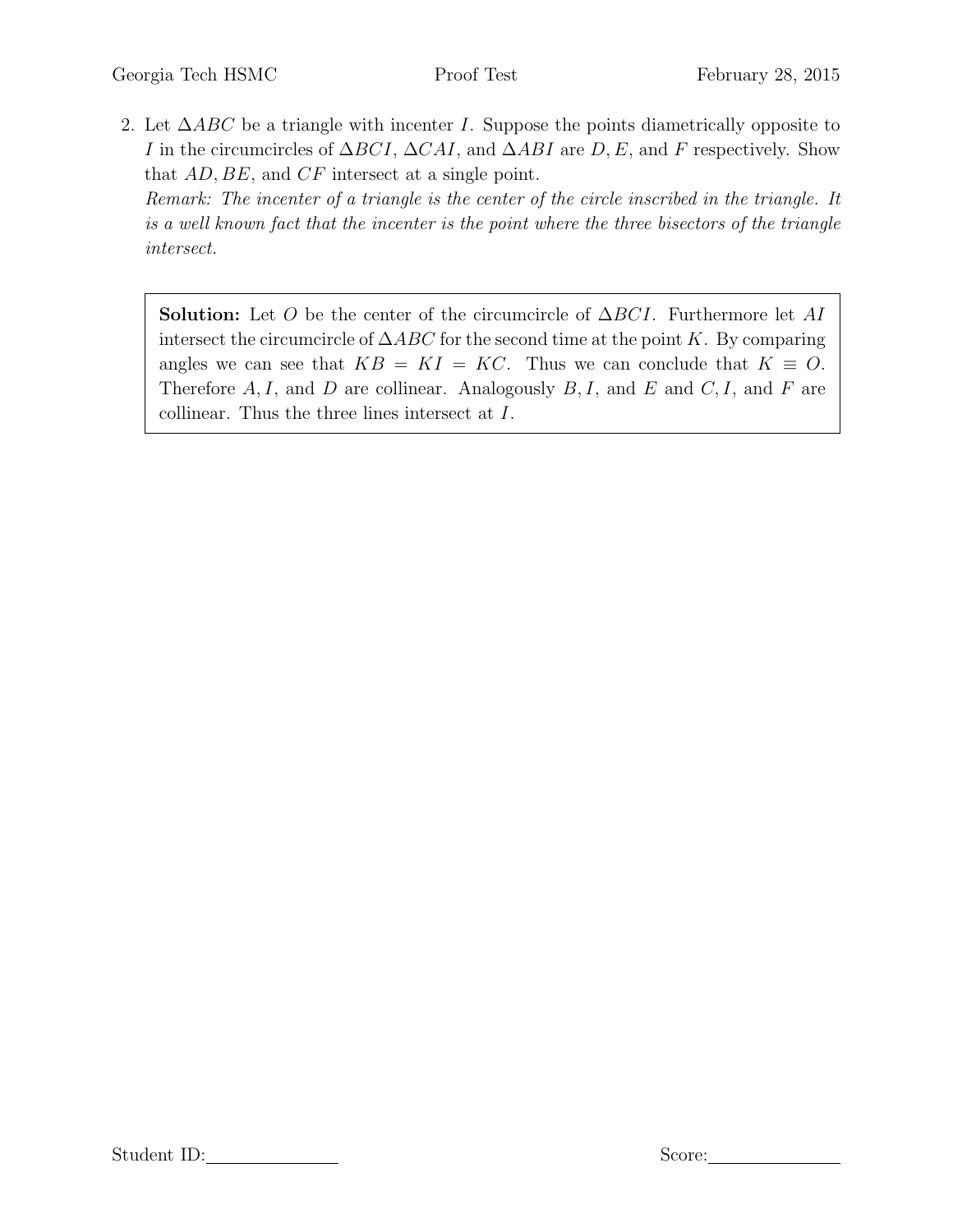2. Let  $\triangle ABC$  be a triangle with incenter I. Suppose the points diametrically opposite to I in the circumcircles of  $\Delta BCI$ ,  $\Delta CAI$ , and  $\Delta ABI$  are D, E, and F respectively. Show that AD, BE, and CF intersect at a single point. Remark: The incenter of a triangle is the center of the circle inscribed in the triangle. It

is a well known fact that the incenter is the point where the three bisectors of the triangle intersect.

**Solution:** Let O be the center of the circumcircle of  $\Delta BCI$ . Furthermore let AI intersect the circumcircle of  $\triangle ABC$  for the second time at the point K. By comparing angles we can see that  $KB = KI = KC$ . Thus we can conclude that  $K \equiv O$ . Therefore  $A, I$ , and  $D$  are collinear. Analogously  $B, I$ , and  $E$  and  $C, I$ , and  $F$  are collinear. Thus the three lines intersect at I.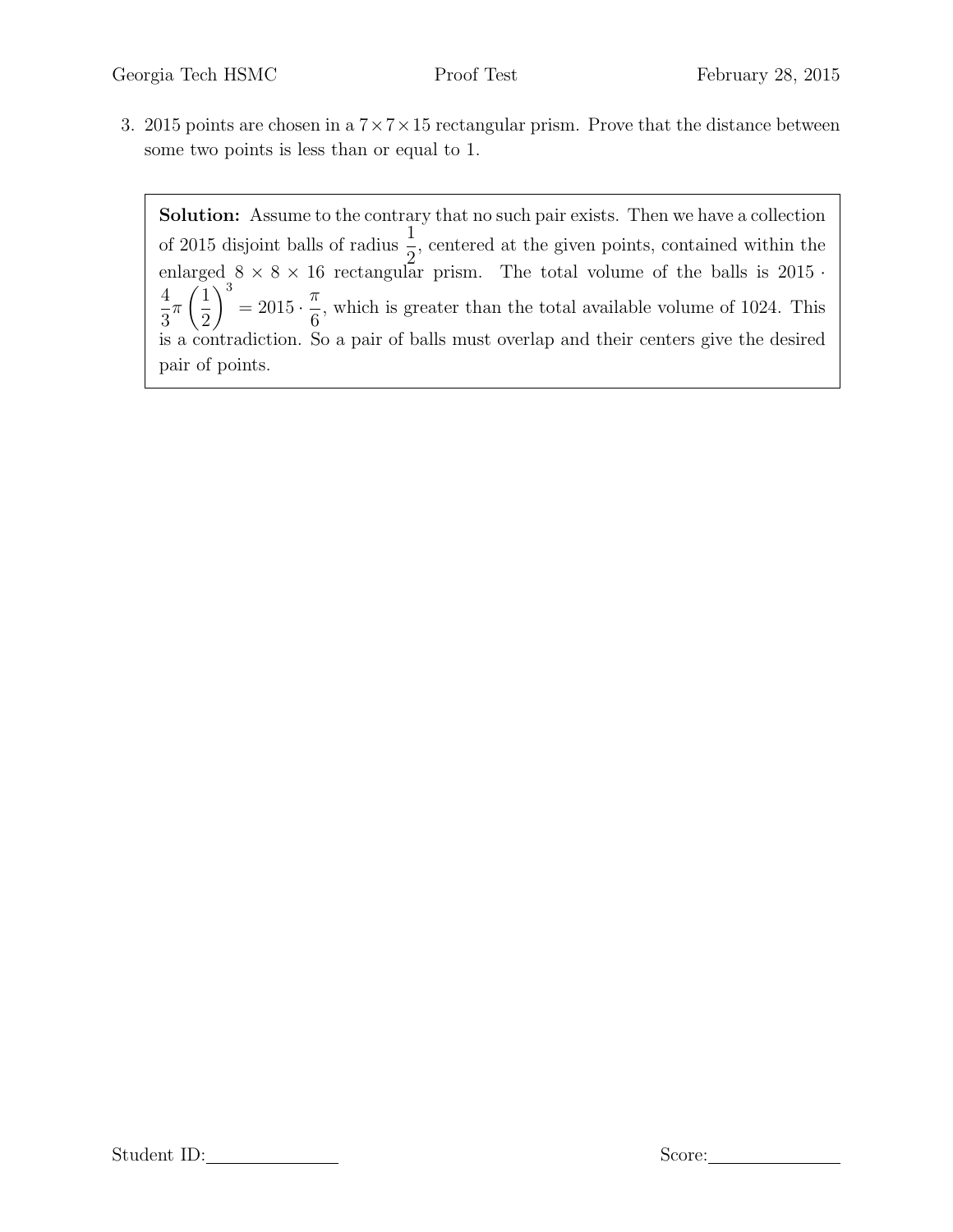3. 2015 points are chosen in a  $7 \times 7 \times 15$  rectangular prism. Prove that the distance between some two points is less than or equal to 1.

Solution: Assume to the contrary that no such pair exists. Then we have a collection of 2015 disjoint balls of radius  $\frac{1}{2}$ 2 , centered at the given points, contained within the enlarged  $8 \times 8 \times 16$  rectangular prism. The total volume of the balls is  $2015 \cdot$ 4 3 π  $\sqrt{1}$ 2  $\setminus^3$  $= 2015 \cdot \frac{\pi}{6}$ 6 , which is greater than the total available volume of 1024. This is a contradiction. So a pair of balls must overlap and their centers give the desired pair of points.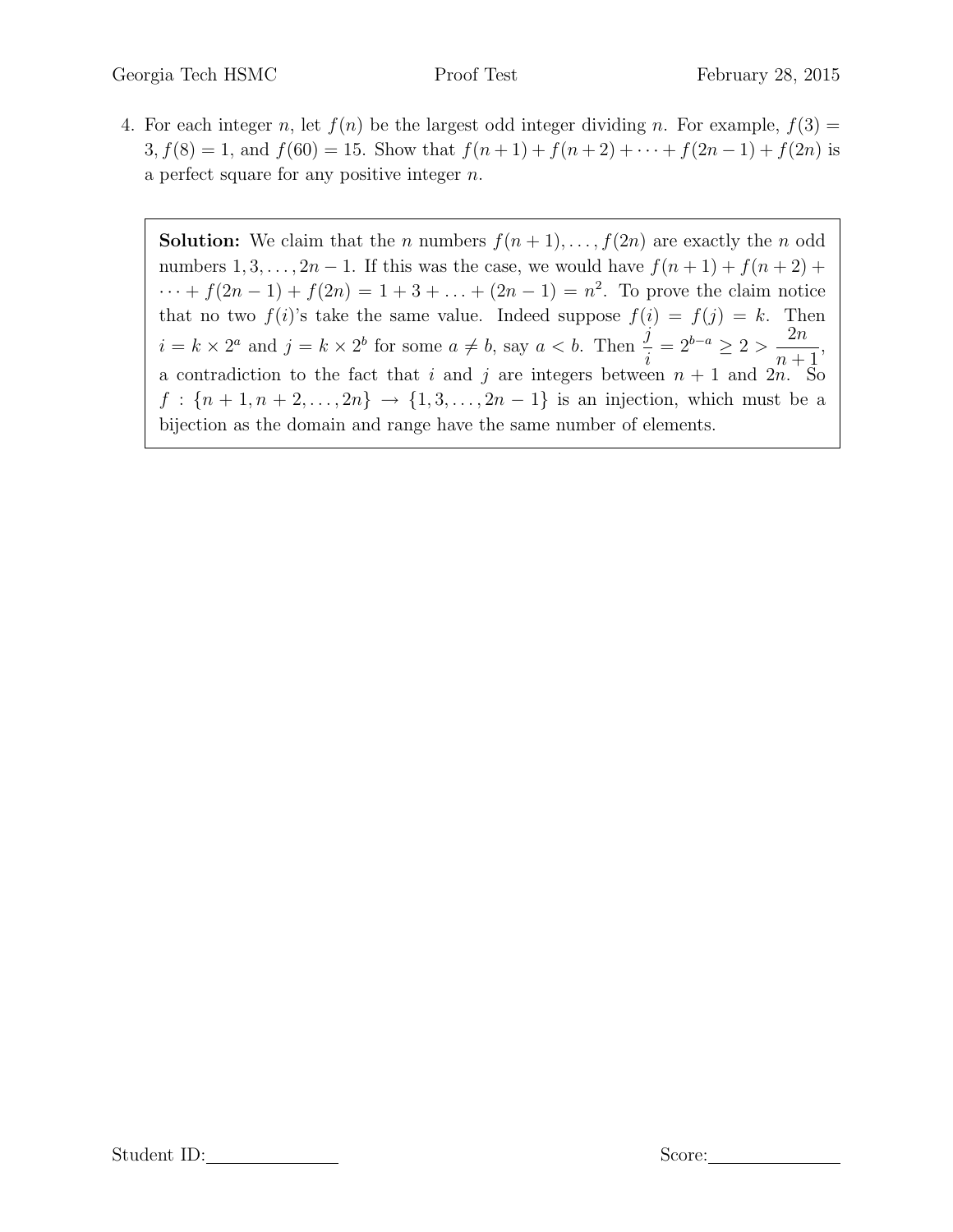4. For each integer n, let  $f(n)$  be the largest odd integer dividing n. For example,  $f(3)$  =  $3, f(8) = 1$ , and  $f(60) = 15$ . Show that  $f(n + 1) + f(n + 2) + \cdots + f(2n - 1) + f(2n)$  is a perfect square for any positive integer  $n$ .

**Solution:** We claim that the *n* numbers  $f(n + 1), \ldots, f(2n)$  are exactly the *n* odd numbers  $1, 3, \ldots, 2n - 1$ . If this was the case, we would have  $f(n + 1) + f(n + 2)$  +  $\cdots + f(2n-1) + f(2n) = 1 + 3 + \ldots + (2n-1) = n^2$ . To prove the claim notice that no two  $f(i)$ 's take the same value. Indeed suppose  $f(i) = f(j) = k$ . Then  $i = k \times 2^a$  and  $j = k \times 2^b$  for some  $a \neq b$ , say  $a < b$ . Then  $\frac{j}{j}$ i  $= 2^{b-a} \geq 2 > \frac{2n}{a}$  $n+1$ , a contradiction to the fact that i and j are integers between  $n + 1$  and  $2n \overline{S_0}$  $f : \{n+1, n+2, ..., 2n\} \to \{1, 3, ..., 2n-1\}$  is an injection, which must be a bijection as the domain and range have the same number of elements.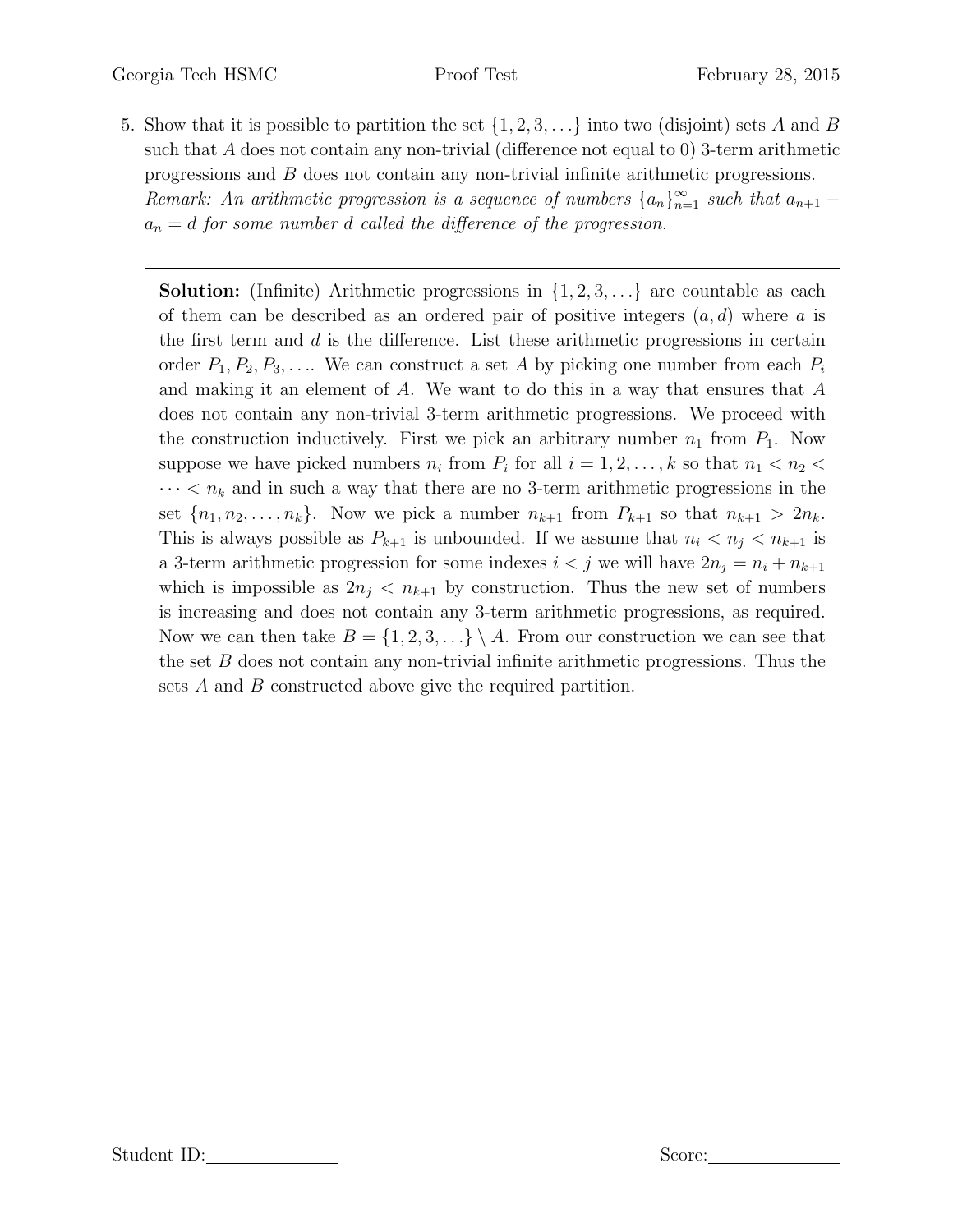5. Show that it is possible to partition the set  $\{1, 2, 3, \ldots\}$  into two (disjoint) sets A and B such that  $A$  does not contain any non-trivial (difference not equal to 0) 3-term arithmetic progressions and B does not contain any non-trivial infinite arithmetic progressions.

Remark: An arithmetic progression is a sequence of numbers  $\{a_n\}_{n=1}^{\infty}$  such that  $a_{n+1}$  –  $a_n = d$  for some number d called the difference of the progression.

**Solution:** (Infinite) Arithmetic progressions in  $\{1, 2, 3, \ldots\}$  are countable as each of them can be described as an ordered pair of positive integers  $(a, d)$  where a is the first term and  $d$  is the difference. List these arithmetic progressions in certain order  $P_1, P_2, P_3, \ldots$  We can construct a set A by picking one number from each  $P_i$ and making it an element of A. We want to do this in a way that ensures that A does not contain any non-trivial 3-term arithmetic progressions. We proceed with the construction inductively. First we pick an arbitrary number  $n_1$  from  $P_1$ . Now suppose we have picked numbers  $n_i$  from  $P_i$  for all  $i = 1, 2, ..., k$  so that  $n_1 < n_2 <$  $\cdots < n_k$  and in such a way that there are no 3-term arithmetic progressions in the set  $\{n_1, n_2, \ldots, n_k\}$ . Now we pick a number  $n_{k+1}$  from  $P_{k+1}$  so that  $n_{k+1} > 2n_k$ . This is always possible as  $P_{k+1}$  is unbounded. If we assume that  $n_i < n_j < n_{k+1}$  is a 3-term arithmetic progression for some indexes  $i < j$  we will have  $2n_j = n_i + n_{k+1}$ which is impossible as  $2n_j < n_{k+1}$  by construction. Thus the new set of numbers is increasing and does not contain any 3-term arithmetic progressions, as required. Now we can then take  $B = \{1, 2, 3, ...\} \setminus A$ . From our construction we can see that the set  $B$  does not contain any non-trivial infinite arithmetic progressions. Thus the sets A and B constructed above give the required partition.